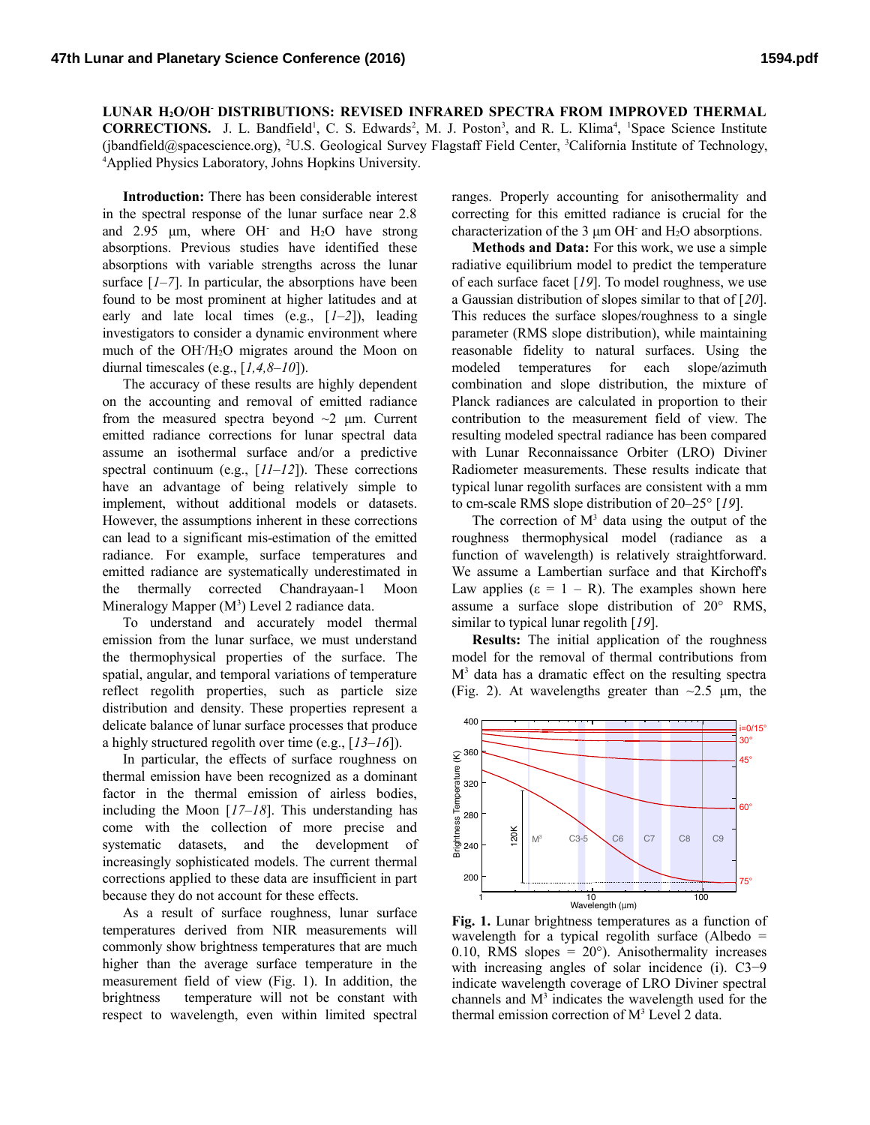**LUNAR H2O/OH- DISTRIBUTIONS: REVISED INFRARED SPECTRA FROM IMPROVED THERMAL CORRECTIONS.** J. L. Bandfield<sup>1</sup>, C. S. Edwards<sup>2</sup>, M. J. Poston<sup>3</sup>, and R. L. Klima<sup>4</sup>, <sup>1</sup>Space Science Institute (jbandfield@spacescience.org), <sup>2</sup>U.S. Geological Survey Flagstaff Field Center, <sup>3</sup>California Institute of Technology, <sup>4</sup>Applied Physics Laboratory, Johns Hopkins University.

**Introduction:** There has been considerable interest in the spectral response of the lunar surface near 2.8 and  $2.95 \mu m$ , where OH and  $H<sub>2</sub>O$  have strong absorptions. Previous studies have identified these absorptions with variable strengths across the lunar surface  $[I-7]$ . In particular, the absorptions have been found to be most prominent at higher latitudes and at early and late local times (e.g., [*1–2*]), leading investigators to consider a dynamic environment where much of the OH/H<sub>2</sub>O migrates around the Moon on diurnal timescales (e.g., [*1,4,8–10*]).

The accuracy of these results are highly dependent on the accounting and removal of emitted radiance from the measured spectra beyond  $\sim$ 2 μm. Current emitted radiance corrections for lunar spectral data assume an isothermal surface and/or a predictive spectral continuum (e.g., [ $11-12$ ]). These corrections have an advantage of being relatively simple to implement, without additional models or datasets. However, the assumptions inherent in these corrections can lead to a significant mis-estimation of the emitted radiance. For example, surface temperatures and emitted radiance are systematically underestimated in the thermally corrected Chandrayaan-1 Moon Mineralogy Mapper  $(M^3)$  Level 2 radiance data.

To understand and accurately model thermal emission from the lunar surface, we must understand the thermophysical properties of the surface. The spatial, angular, and temporal variations of temperature reflect regolith properties, such as particle size distribution and density. These properties represent a delicate balance of lunar surface processes that produce a highly structured regolith over time (e.g., [*13–16*]).

In particular, the effects of surface roughness on thermal emission have been recognized as a dominant factor in the thermal emission of airless bodies, including the Moon [*17–18*]. This understanding has come with the collection of more precise and systematic datasets, and the development of increasingly sophisticated models. The current thermal corrections applied to these data are insufficient in part because they do not account for these effects.

As a result of surface roughness, lunar surface temperatures derived from NIR measurements will commonly show brightness temperatures that are much higher than the average surface temperature in the measurement field of view (Fig. 1). In addition, the brightness temperature will not be constant with respect to wavelength, even within limited spectral

ranges. Properly accounting for anisothermality and correcting for this emitted radiance is crucial for the characterization of the  $3 \mu m$  OH and  $H_2O$  absorptions.

**Methods and Data:** For this work, we use a simple radiative equilibrium model to predict the temperature of each surface facet [*19*]. To model roughness, we use a Gaussian distribution of slopes similar to that of [*20*]. This reduces the surface slopes/roughness to a single parameter (RMS slope distribution), while maintaining reasonable fidelity to natural surfaces. Using the modeled temperatures for each slope/azimuth combination and slope distribution, the mixture of Planck radiances are calculated in proportion to their contribution to the measurement field of view. The resulting modeled spectral radiance has been compared with Lunar Reconnaissance Orbiter (LRO) Diviner Radiometer measurements. These results indicate that typical lunar regolith surfaces are consistent with a mm to cm-scale RMS slope distribution of 20–25° [*19*].

The correction of  $M<sup>3</sup>$  data using the output of the roughness thermophysical model (radiance as a function of wavelength) is relatively straightforward. We assume a Lambertian surface and that Kirchoff's Law applies  $(\epsilon = 1 - R)$ . The examples shown here assume a surface slope distribution of 20° RMS, similar to typical lunar regolith [*19*].

**Results:** The initial application of the roughness model for the removal of thermal contributions from M<sup>3</sup> data has a dramatic effect on the resulting spectra (Fig. 2). At wavelengths greater than  $\sim$ 2.5  $\mu$ m, the



**Fig. 1.** Lunar brightness temperatures as a function of wavelength for a typical regolith surface (Albedo = 0.10, RMS slopes =  $20^{\circ}$ ). Anisothermality increases with increasing angles of solar incidence (i). C3−9 indicate wavelength coverage of LRO Diviner spectral channels and  $M<sup>3</sup>$  indicates the wavelength used for the thermal emission correction of M<sup>3</sup> Level 2 data.